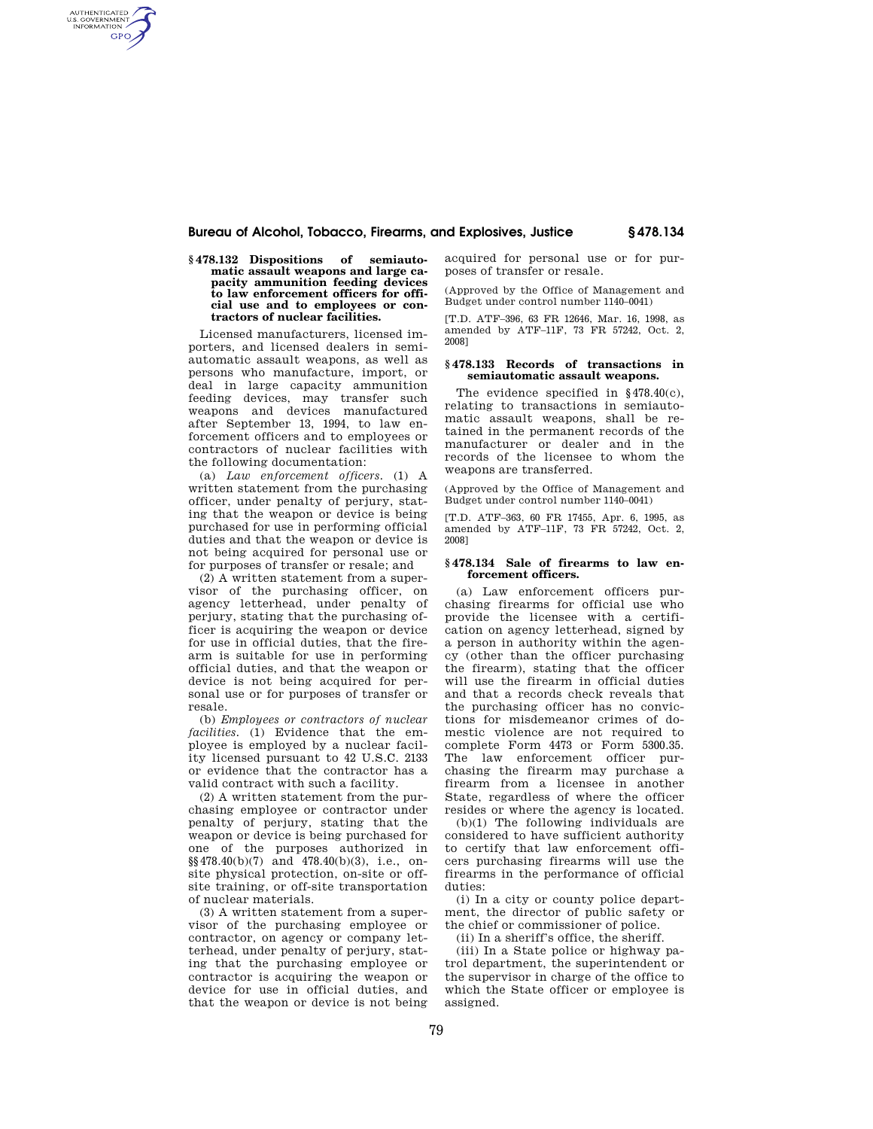## **Bureau of Alcohol, Tobacco, Firearms, and Explosives, Justice § 478.134**

### **§ 478.132 Dispositions of semiautomatic assault weapons and large capacity ammunition feeding devices to law enforcement officers for official use and to employees or contractors of nuclear facilities.**

AUTHENTICATED<br>U.S. GOVERNMENT<br>INFORMATION **GPO** 

> Licensed manufacturers, licensed importers, and licensed dealers in semiautomatic assault weapons, as well as persons who manufacture, import, or deal in large capacity ammunition feeding devices, may transfer such weapons and devices manufactured after September 13, 1994, to law enforcement officers and to employees or contractors of nuclear facilities with the following documentation:

> (a) *Law enforcement officers.* (1) A written statement from the purchasing officer, under penalty of perjury, stating that the weapon or device is being purchased for use in performing official duties and that the weapon or device is not being acquired for personal use or for purposes of transfer or resale; and

> (2) A written statement from a supervisor of the purchasing officer, on agency letterhead, under penalty of perjury, stating that the purchasing officer is acquiring the weapon or device for use in official duties, that the firearm is suitable for use in performing official duties, and that the weapon or device is not being acquired for personal use or for purposes of transfer or resale.

> (b) *Employees or contractors of nuclear facilities.* (1) Evidence that the employee is employed by a nuclear facility licensed pursuant to 42 U.S.C. 2133 or evidence that the contractor has a valid contract with such a facility.

> (2) A written statement from the purchasing employee or contractor under penalty of perjury, stating that the weapon or device is being purchased for one of the purposes authorized in  $\S$ §478.40(b)(7) and 478.40(b)(3), i.e., onsite physical protection, on-site or offsite training, or off-site transportation of nuclear materials.

> (3) A written statement from a supervisor of the purchasing employee or contractor, on agency or company letterhead, under penalty of perjury, stating that the purchasing employee or contractor is acquiring the weapon or device for use in official duties, and that the weapon or device is not being

acquired for personal use or for purposes of transfer or resale.

(Approved by the Office of Management and Budget under control number 1140–0041)

[T.D. ATF–396, 63 FR 12646, Mar. 16, 1998, as amended by ATF–11F, 73 FR 57242, Oct. 2, 2008]

### **§ 478.133 Records of transactions in semiautomatic assault weapons.**

The evidence specified in §478.40(c), relating to transactions in semiautomatic assault weapons, shall be retained in the permanent records of the manufacturer or dealer and in the records of the licensee to whom the weapons are transferred.

(Approved by the Office of Management and Budget under control number 1140–0041)

[T.D. ATF–363, 60 FR 17455, Apr. 6, 1995, as amended by ATF–11F, 73 FR 57242, Oct. 2, 2008]

### **§ 478.134 Sale of firearms to law enforcement officers.**

(a) Law enforcement officers purchasing firearms for official use who provide the licensee with a certification on agency letterhead, signed by a person in authority within the agency (other than the officer purchasing the firearm), stating that the officer will use the firearm in official duties and that a records check reveals that the purchasing officer has no convictions for misdemeanor crimes of domestic violence are not required to complete Form 4473 or Form 5300.35. The law enforcement officer purchasing the firearm may purchase a firearm from a licensee in another State, regardless of where the officer resides or where the agency is located.

(b)(1) The following individuals are considered to have sufficient authority to certify that law enforcement officers purchasing firearms will use the firearms in the performance of official duties:

(i) In a city or county police department, the director of public safety or the chief or commissioner of police.

(ii) In a sheriff's office, the sheriff.

(iii) In a State police or highway patrol department, the superintendent or the supervisor in charge of the office to which the State officer or employee is assigned.